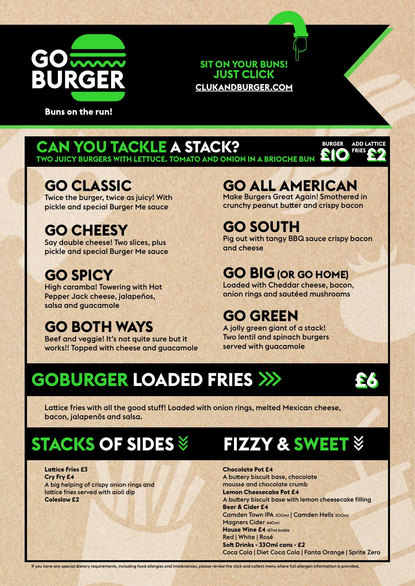

**Buns on the run!** 

#### **SIT ON YOUR BUNS! JUST CLICK CLUKANDBURGER.COM**

# **CAN YOU IACKLE A STACK?**<br>TWO JUICY BURGERS WITH LETTUCE. TOMATO AND ONION IN A BRIOCHE BUN

#### **GO CLASSIC**

Twice the burger, twice as juicy! With pickle and special Burger Me sauce

### **GO CHEESY**

Say double cheese! Two slices, plus pickle and special Burger Me sauce

### **GO SPICY**

High caramba! Towering with Hot Pepper Jack cheese, jalapeños, salsa and guacamole

### **GO BOTH WAYS**

Beef and veggie! It's not quite sure but it works!! Topped with cheese and guacamole

# **GO ALL AMERICAN** Make Burgers Great Again! Smothered in

crunchy peanut butter and crispy bacon

**£10 BURGER**

**£2**

**ADD LATTICE FRIES**

## **GO SOUTH**

Pig out with tangy BBQ sauce crispy bacon and cheese

### **GO BIG (OR GO HOME)**

Loaded with Cheddar cheese, bacon, onion rings and sautéed mushrooms

#### **GO GREEN**

A jolly green giant of a stack! Two lentil and spinach burgers served with guacamole

## **GOBURGER LOADED FRIES**

**£6**

Lattice fries with all the good stuff! Loaded with onion rings, melted Mexican cheese, bacon, jalapenõs and salsa.

## **STACKS OF SIDES**

#### **Lattice Fries £3 Cry Fry £4** A big helping of crispy onion rings and lattice fries served with aioli dip **Coleslaw £2**

## **FIZZY & SWEET**

**Chocolate Pot £4** A buttery biscuit base, chocolate mousse and chocolate crumb **Lemon Cheesecake Pot £4** A buttery biscuit base with lemon cheesecake filling **Beer & Cider £4** Camden Town IPA 300ml | Camden Hells 300ml Magners Cider 440ml **House Wine £4** 187ml bottle Red | White | Rosé **Soft Drinks - 330ml cans - £2**  Coca Cola | Diet Coca Cola | Fanta Orange | Sprite Zero

If you have any special dietary requirements, including food allergies and intolerances, please review the click and collect menu where full allergen information is provided.